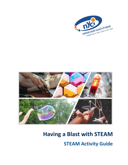



# **Having a Blast with STEAM STEAM Activity Guide**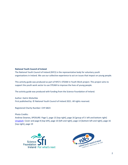#### **National Youth Council of Ireland**

The National Youth Council of Ireland (NYCI) is the representative body for voluntary youth organisations in Ireland. We use our collective experience to act on issues that impact on young people.

This activity guide was produced as part of NYCI's STEAM in Youth Work project. This project aims to support the youth work sector to use STEAM to improve the lives of young people.

The activity guide was produced with funding from the Science Foundation of Ireland.

Author: Katrin Wolschke First published by: © National Youth Council of Ireland 2021. All rights reserved.

Registered Charity Number: CHY 6823

Photo Credits:

Andrew Downes, XPOSURE: Page 5, page 13 [top right], page 16 [group of 3: left and bottom right] [Unsplash:](https://unsplash.com/) Cover and page 8 [top left], page 10 [left and right], page 13 [bottom left and right], page 16 [top right], page 19



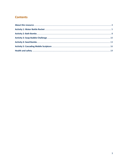# **Contents**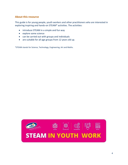## <span id="page-3-0"></span>**About this resource**

This guide is for young people, youth workers and other practitioners who are interested in exploring inspiring and hands-on STEAM\* activities. The activities:

- introduce STEAM in a simple and fun way
- explore some science
- can be carried out with groups and individuals
- are suitable for all age groups from 12 years old up.

\*STEAM stands for Science, Technology, Engineering, Art and Maths.

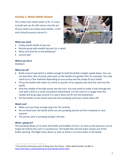## <span id="page-4-0"></span>**Activity 1: Water Bottle Rocket**

This rocket only needs water to fly. It's easy to build and can fly 100 meters into the air! All you need is an empty water bottle, a cork and a bicycle pump to launch it.



## **What you need**

- Empty plastic bottle of any size
- Bicycle pump with needle top part (or a valve)
- Wine cork that fits in the bottleneck
- Launch pad

## **Where you do it**

**Outdoors** 

## **What you do<sup>1</sup>**

- Build a launch pad which is stable enough to hold the bottle straight upside down. You can use branches, bits of wood, plant pots or the handle of a garden fork, for example. You may need to try a few methods depending on your pump and the shape of your bottle.
- Fill up the bottle with water to a third or quarter of its capacity and stick the cork into the bottle.
- Stick the needle of the bike pump into the cork. You may need to make a hole through the cork with a drill or a small screwdriver beforehand. Cut the cork if it is longer than the needle and wrap tape around it in case it does not fit into the bottleneck.
- Put the bottle on the launch pad and start pumping until your rocket takes off!

## **Watch out!**

- Make sure you have enough space for this activity.
- Do not bend over the bottle while you are pumping and do not fire it towards or over anyone!
- The person who is pumping will get a bit wet.

## **What`s going on?**

The pumping allows air to enter the bottle and bubbles to form. As soon as the pressure can no longer be held by the cork it is pushed out. The bottle flies off and water shoots out of the bottle opening. The flight slows down as soon as there is no more water in the bottle.

<sup>1</sup> This activity summarizes parts of 'Bang Goes The Theory – Water Bottle Rockets' by BBC at <http://www.bbc.co.uk/bang/handson/waterbottlerockets.shtml>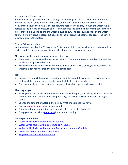## Backward and forward forces:

A rocket flies by ejecting something through the opening and the so-called "reaction force" pushes the rocket body forward. In this case, it is water and air that are ejected. Water is heavier than air, so the bottle is pushed forward harder. The energy to push the water out is related to the increasing pressure as air is pumped into the bottle. The pumping causes the air pressure to build up inside and the water is pushed out. The cork pushes back on the water, and for a while it stays in place. But as soon as the air pressure becomes too great, the cork is pushed out with the water.

## Newton's laws of motion:

You may have heard of the 17th century British scientist Sir Isaac Newton, who had an apple fall on his head. His ideas about gravity and other forces have transformed science.

The water bottle rocket demonstrates two of his laws:

- Every action has an equal but opposite reaction. The water moves in one direction and the bottle in the opposite direction.
- The same amount of force can accelerate a heavy object slowly or a light object faster. The water is much heavier than the empty plastic bottle.

## **Tip!**

- Because the launch happens very suddenly and the rocket flies quickly it is recommended that spectators stand away from the rocket while it is being launched.
- Film the launching of the bottle and have a look at what's going on in slow motion.

## **Thinking bigger**

- Make your water bottle rocket look like a rocket by designing and adding a cone to its head and fins to its tail! Observe what happens  $-$  e.g. do certain designs impact on the flight path?
- Change the amount of water in the bottle. What impact does this have?
- Explore [projectile motion](https://phet.colorado.edu/en/simulation/projectile-motion) with your rockets.
- Organise a team competition whose rocket flies furthest or highest?
- Equip your rocket with a [parachute](https://www.instructables.com/Homemade-Parachute-1/) for a smooth landing.

## **Get inspiration online**

- [Water Bottle Rocket experiment on Youtube](https://www.youtube.com/watch?v=7JaMmfhpOzI)
- [Water Bottle Rocket with a parachute](https://www.youtube.com/watch?v=G8mn7axRnMo) on Youtube
- [Water Bottle Rocket with parachute & attached camera on Youtube](https://www.youtube.com/watch?v=R625vwA4jpQ)
- [Homemade parachute on Instructables](https://www.instructables.com/Homemade-Parachute-1/)
- [Projectile Motion online simulation](https://phet.colorado.edu/en/simulation/projectile-motion)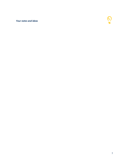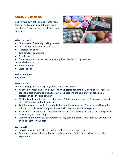## <span id="page-7-0"></span>**Activity 2: Bath Bombs**

Design your own bath bombs! These fizzy, fragrant and colourful bath bombs make excellent gifts. All the ingredients are in your kitchen.



#### **What you need**

- Bicarbonate of soda, e.g. baking powder
- Citric acid powder or `Cream of Tartar`
- A tablespoon of water
- Two bowls or containers
- A tablespoon
- Something to shape the bath bombs, e.g. ice-cube tray or cupcake pan

Optional – but fun:

- Food colouring
- Essential oils

#### **Where you do it**

Anywhere

## **What you do**

The following quantities will give you two small bath bombs:

- Mix the dry ingrediencies in a bowl: The mixing ratio needs to be 2 parts of bicarbonate of soda to 1 part of citric acid powder, e.g. 2 tablespoons of bicarbonate of soda and 1 tablespoon of citric acid powder.
- Mix the liquid ingredients in the other bowl: 1 tablespoon of water, 3-4 drops of essential oils and 3-4 drops of food colouring.
- Add the powder to the liquids and mix the ingredients together. The mixture will be quite soft and crumbly. When you press it down with the spoon it sticks together.
- Shape your bath bombs: Fill the mixture into your ice-cube tray or cupcake pan and press it down firmly with your fingers.
- Leave the bath bombs to set overnight so they become harder. Ease them out of your tray and add them to your bath!

## **Watch out!**

- Consider any possible allergies before undertaking the experiment.
- Before using any equipment for food make sure that it's thoroughly cleaned after the experiment.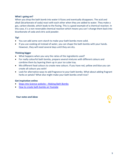## **What`s going on?**

When you drop the bath bomb into water it fizzes and eventually disappears. The acid and alkali (bicarbonate of soda) react with each other when they are added to water. They make a gas, carbon dioxide, which leads to the fizzing. This is a good example of a chemical reaction. In this case, it`s a non-reversable chemical reaction which means you can`t change them back into bicarbonate of soda and citric acid powder.

## **Tip!**

- You can add some corn-starch to make your bath bombs more solid.
- If you use cooking oil instead of water, you can shape the bath bombs with your hands. However, they will need several days until they are dry.

## **Thinking bigger**

- What happens when you vary the ratios of the ingredients used?
- For really colourful bath bombs, prepare several mixtures with different colours and combine them by layering them up in your ice cube tray.
- Mix different food colours to create new colours. If you have red, yellow and blue you can create all colours you wish!
- Look for alternative ways to add fragrance to your bath bombs. What about adding fragrant herbs or petals? What else might make your bath bombs smell nice?

## **Get inspiration online**

- [Steps into Science website](https://edu.rsc.org/primary-science/making-bath-bombs/4011691.article)  Making Bath Bombs
- [How to create bath bombs on Youtube](https://www.youtube.com/watch?v=-qseSbSHy_M)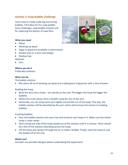## <span id="page-9-0"></span>**Activity 3: Soap Bubble Challenge**

Learn how to create really big and strong bubbles. Find ideas for fun soap bubble team challenges, soap bubble artwork and for exploring the physics of soap films.



#### **What you need**

- Water
- Washing-up liquid
- Sugar or glycerine (available in pharmacies)
- Garden wire or a wire coat hanger
- Shallow tray

Optional:

• Yarn

# **Where you do it**

Preferably outdoors

## **What you do**

The bubble solution:

• Mix about 50 ml of washing-up liquid and a tablespoon of glycerine with 1 litre of water.

Building the hoop:

- Bend the wire into a hoop you decide on the size! The bigger the hoop the bigger the bubbles.
- Where the circle closes, form a handle using the rest of the wire.
- Optionally, you can wrap some yarn tightly around the rim of the hoop. This way, the bubble solution will be absorbed by the yarn which will increase the chance of creating bubbles.

Creating bubbles:

- Pour the bubble solution into your tray and immerse your hoop in it. Make sure the whole hoop is under water.
- Start raising one side of the hoop slowly out of the solution until it is vertical. There should be a film of the solution extending across the hoop.
- Lift the hoop and swing it through the air to make a bubble. Finally, twist the hoop to seal the bubble off at the end.

## **Watch out!**

Consider any possible allergies before undertaking the experiment.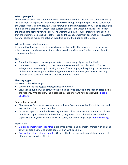## **What`s going on?**

The bubble solution gets stuck in the hoop and forms a thin film that you can carefully blow up like a balloon. With pure water and with a very small hoop, it might be possible to stretch out the water to create a film. However, this film would burst immediately if you tried to blow it up. This is due to a property of water called surface tension – the water molecules cling to each other and cannot move very far apart. The washing-up liquid reduces this surface tension so that the water molecules cling together less, and the soapy water film becomes elastic. Adding sugar or glycerine makes the solution even thicker and the bubbles get stronger.

## Why is the soap bubble a sphere?

A soap bubble floating in the air, which has no contact with other objects, has the shape of a sphere. A soap film always forms the smallest possible surface area for the volume of air it contains – a sphere.

## **Tip!**

- Some bubble experts use wallpaper paste to create really big, strong bubbles!
- If you want to start smaller, you can use a simple straw to blow bubbles first. You can enlarge the straw opening by cutting a piece off at an angle, or by splitting the bottom end of the straw into four parts and bending them upwards. Another good way for creating medium-sized bubbles is to turn a pipe-cleaner into a hoop.

## **Thinking bigger**

Do a soap bubble challenge:

- Who can make the biggest or longest lasting bubble?
- Blow a soap bubble with a straw on the table and try to blow up more soap bubbles inside the first one. Who can blow the most bubbles into one? And how does it work? Bubble **[Challenge](https://hiphomeschoolmoms.com/bubble-challenge/)**

Soap bubble artwork:

- Photography: Take pictures of your soap bubbles. Experiment with different focusses and explore the colours of your bubbles.
- Colourful paper art: Add food colouring or water colour paint to your solution and blow up bubbles on paper. When the bubbles burst, they leave some colourful artwork on the paper. This way, you can create lovely gift cards, bookmarks or gift tags. [Bubble Painting](https://tinkerlab.com/bubble-paint-recipe/)

Exploration:

- [Explore geometry with soap films:](https://www.exploratorium.edu/snacks/soap-bubble-shapes) Build three-dimensional geometric frames with drinking straws or pipe cleaners to create geometric art with soap films.
- [Explore the colours of your bubbles:](https://www.exploratorium.edu/snacks/soap-film-on-can) Observe the behaviour and colourful appearance of different wavelengths of light.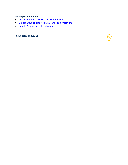## **Get inspiration online**

- [Create geometric art with](https://www.exploratorium.edu/snacks/soap-bubble-shapes) the Exploratorium
- [Explore wavelengths of light](https://www.exploratorium.edu/snacks/soap-film-on-can) with the Exploratorium
- [Bubble Painting on tinkerlab.com](https://tinkerlab.com/bubble-paint-recipe/)

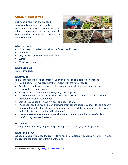## <span id="page-12-0"></span>**Activity 4: Seed Bombs**

Brighten up your world with a seed explosion! Learn about how seeds germinate, how flowers grow and how to do urban gardening projects. Find out about the world of pollinators and their importance for our environment.



## **What you need**

- Mixed seeds of native or non-invasive flowers and/or herbs
- Compost
- Clay soil, clay powder or modelling clay
- Water
- Mixing container

## **Where you do it**

Preferably outdoors

## **What you do**

The mixing ratio is 5 parts of compost, 1 part of clay soil and 1 part of flower seeds.

- In a big container, mix together the compost with the flower seeds.
- Add the clay and give it a good stir. If you are using modelling clay, knead the mass thoroughly with your hands.
- Slowly mix in some water until everything sticks together.
- With your hands, roll the mixture into firm small balls. A size of about 4 centimetres in diameter is ideal for seed bombs.
- Leave the seed bombs in a sunny spot or indoors to dry.
- 'Plant' your seed bombs by simply throwing them at bare parts of your garden or property, or look out for other feasible spots. Plants don`t need much to grow so be creative with finding the right spots that need brightening!
- Now you need some patience to see what pops up and explore the stages of a plant transforming from seed to fading.

## **Watch out!**

Use unplanted spots for your guerrilla gardening to avoid annoying fellow gardeners.

## **What`s going on?<sup>2</sup>**

What do plants actually need to grow? Plants need soil, water, air, light and warmth. However, the growing conditions differ from plant to plant.

<sup>&</sup>lt;sup>2</sup> This section was inspired b[y https://www.sofatutor.com](https://www.sofatutor.com/)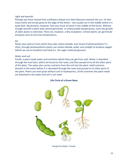## Light and warmth:

Perhaps you have noticed that sunflowers always turn their blossoms towards the sun. Or that many herbs and shrubs grow at the edge of the forest – but usually not in the middle where it is quite dark. Mushrooms, however, feel very much at home in the middle of the forest. Without enough warmth a plant seed cannot germinate. In unfavourable temperatures, even the growth of older plants is restricted. There are, however, a few exceptions. Certain plants can germinate and grow even at very low temperatures.

## Air:

Plants also need air from which they take carbon dioxide. Ever heard of photosynthesis? In short, through photosynthesis plants use carbon dioxide, water and sunlight to produce oxygen (which we use to breathe!) and food (i.e. the sugar molecule glucose).

## Water and soil:

Finally, a plant needs water and nutrients (which they can get from soil). Water is absorbed through the root hairs, which are found on the roots, and then passed on to all the other parts of the plant. The water also carries nutrients from the soil into the plant. Solid nutrients dissolve in the water before it is absorbed through the roots and passed on to other parts of the plant. Plants can even grow without soil! In hydroponics, all the nutrients the plant needs are dissolved in the water and soil is not used!



## **Life Circle of a Green Bean**

Designed by Brgfx / Freepik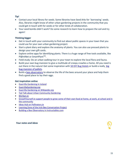**Tip!**

- Contact your local library for seeds. Some libraries have Seed Arks for `borrowing` seeds. Also, libraries might know of other urban gardening projects in the community that you could get in touch with for seeds or for other kinds of collaboration.
- Your seed bombs didn't work? Do some research to learn how to prepare the soil and try again!

## **Thinking bigger**

- Get in touch with your community to find out about public spaces in your town that you could use for your own urban gardening project.
- Start a plant diary and explore the anatomy of plants. You can also use pressed plants to design your own gift cards.
- Explore online apps for identifying plants. There is a huge range of free tools available, like Pl@ntNet or SmartPlant™.
- Field study: Do an urban walking tour in your town to explore the local flora and fauna.
- Build your own bug mansion to give a multitude of creepy crawlies a home. All you need is out there in the nature! Get some inspiration with [50 DIY Bug Hotels](https://www.craftionary.net/diy-bug-hotels-material-instructions-to-attract-bugs/) or build a really big [bug mansion of pallets.](https://www.wildlifetrusts.org/actions/how-build-bug-mansion)
- Build a [bee observatory](https://www.instructables.com/Bee-Observatory/) to observe the life of the bees around your place and help them find a good place to lay their eggs.

## **Get inspiration online**

- [Guerrilla Gardening in Ireland](http://trinitynews.ie/2020/05/planting-the-future-guerrilla-gardening-in-ireland/)
- [GuerrillaGardening.org](http://www.guerrillagardening.org/)
- [Guerrilla Gardening on Wikipedie.org](https://en.wikipedia.org/wiki/Guerrilla_gardening)
- [Ted Talk about Urban Community Gardening](https://www.ted.com/talks/ron_finley_a_guerrilla_gardener_in_south_central_la?language=en)
- [BíUrban.ie](https://www.biurban.ie/)
- [GrowItYourself.ie support people to grow some of their own food at home, at work, at school and in](https://giy.ie/)  [the community](https://giy.ie/)
- [Ideas Hub on Pollinators.ie](https://pollinators.ie/ideas-hub/)
- [Learning Zone of the Irish Bee Conversation Project](https://www.ibcp.ie/learning-zone/)
- [Building a Bee Observatory in Instructables.com](https://www.instructables.com/Bee-Observatory/)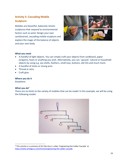# <span id="page-15-0"></span>**Activity 5: Cascading Mobile Sculpture**

Mobiles are beautiful, balanced, kinetic sculptures that respond to environmental factors such as wind. Design your own cantilevered, cascading mobile sculpture and explore the magic of the balance of objects and your own body.



## **What you need**

- A handful of light objects. You can simply craft your objects from cardboard, paper (origami), foam or anything you wish. Alternatively, you can `upcycle` natural or household objects by using e.g. sea shells, feathers, small toys, buttons, old CDs and much more.
- A handful of sticks or strong wire.
- Thread or wire.
- Craft glue.

## **Where you do it**

Anywhere

## **What you do<sup>3</sup>**

There are no limits to the variety of mobiles that can be made! In this example, we will be using the following model:



<sup>3</sup> This activity is a summary of Art Edu Guru`s video `Engineering the Calder Cascade` at <https://www.artedguru.com/home/engineering-the-calder-cascade>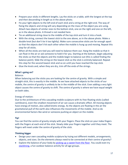- Prepare your sticks in different lengths. Lay the sticks on a table, with the longest at the top and then descending in length as in the above photo.
- Fix your light objects to the left end of each stick and a string at the right end. The way of fixing the objects and string will vary depending on the mass of the object you are using. Attach two objects of similar sizes to the bottom stick, one on the right and one on the left, as in the above photo. A thread is not needed here.
- Tie an additional string close to the middle of the top stick and turn it into a hook.
- With the string, connect the lowest stick to the one above, as in the above photo. Make a double knot (but don't tie it too tightly). Make sure consecutive sticks are far enough apart so that the objects don't hit each other when the mobile is hung up and moving. Repeat this step for all sticks.
- When all the sticks are tied you will need to balance them out. Hang the mobile so that it can float in the air or ask someone to hold it for you. Starting at the bottom, begin adjusting the sticks so that the objects and the mobile begin to balance out (this is called finding the balance point). Slide the string on the lowest stick so the stick is entirely balanced. Repeat this step for the second lowest stick and so on until you have reached the top stick.
- Glue the knots and, when they are dry, trim off the ends of the strings.

## **What`s going on?**

## Balance:

When balancing out the sticks you are looking for the centre of gravity. With a simple and straight stick, this is exactly in the middle. As we have attached objects to the sticks of our mobile, the centre of gravity is unlikely to be in the middle of the stick. Even adding a very light object causes the centre of gravity to shift. The centre of gravity is where we have equal weight on both sides.

## Energy of motion:

Due to the architecture of this cascading mobile sculpture with its free-floating sticks (called cantilevers), even the smallest movement of air can cause a dramatic effect. All moving objects have energy of motion, also called kinetic energy. As the objects are floating in the air the gravitational pull of the earth also influences the movements of the mobile. And so do environmental factors like wind or someone pushing an object on the mobile.

## **Tip!**

You can find the centre of gravity simply with your fingers: Place the stick on your index fingers with the fingers at each end of the stick. Slowly slide your fingers together until they meet. The fingers will meet under the centre of gravity of the stick.

## **Thinking bigger**

- Design your own cascading mobile sculpture by trying out different models, arrangements, objects, and sizes. Do the elements always need to be connected at their centre of gravity?
- Explore the balance of your body by [picking up a sweet from the floor.](https://www.scientificamerican.com/article/balancing-challenges/) You could even try [slacklining,](https://www.instructables.com/howto/slacklining/) a fun outdoor balance activity for all age groups.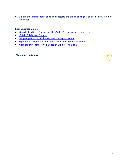• Explore the **kinetic energy** of colliding objects and the **balancing act** of a see-saw with online simulations.

## **Get inspiration online**

- Video Instruction [Engineering the Calder Cascade on](https://www.artedguru.com/home/engineering-the-calder-cascade) arteduguru.com
- [Mobile Building on Youtube](https://www.youtube.com/watch?v=b5GTUM-Q2g0)
- [Designing Balancing Sculptures with the Exploratorium](https://www.exploratorium.edu/tinkering/projects/balancing-sculptures)
- [Experiments around the Centre of Gravity on Exploratorium.com](https://www.exploratorium.edu/snacks/center-gravity)
- [More experiments around Balance on Exploratorium.com](https://www.exploratorium.edu/search/balance)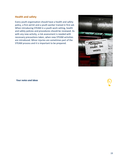## <span id="page-18-0"></span>**Health and safety**

Every youth organisation should have a health and safety policy, a first aid kit and a youth worker trained in first aid. When introducing STEAM in a youth work setting, health and safety policies and procedures should be reviewed. As with any new activity, a risk assessment is needed with necessary precautions taken, when new STEAM activities are introduced. Minor injuries are sometimes part of the STEAM process and it is important to be prepared.